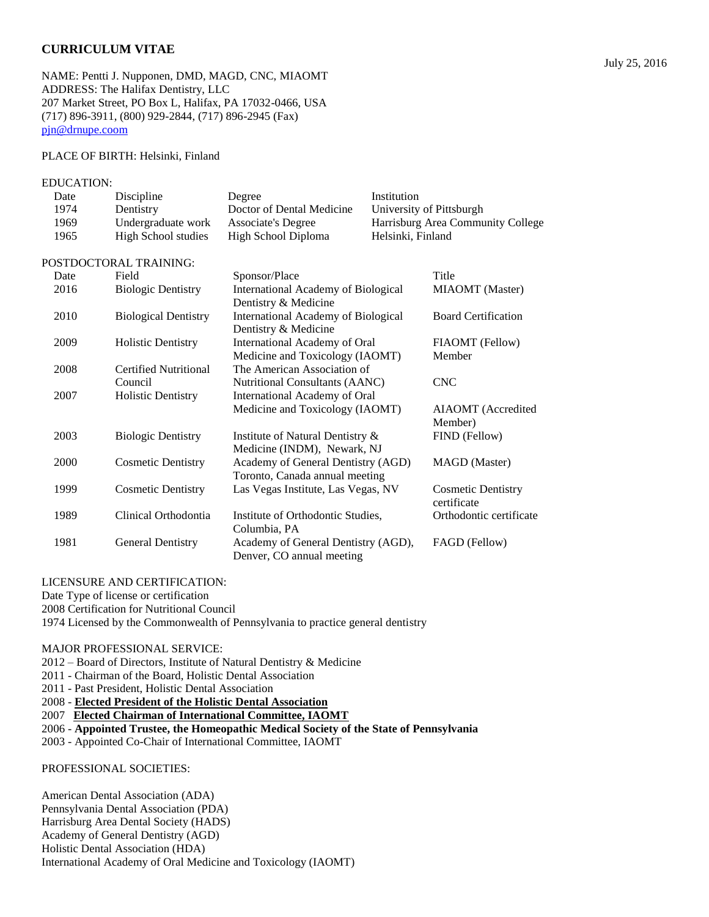# **CURRICULUM VITAE**

NAME: Pentti J. Nupponen, DMD, MAGD, CNC, MIAOMT ADDRESS: The Halifax Dentistry, LLC 207 Market Street, PO Box L, Halifax, PA 17032-0466, USA (717) 896-3911, (800) 929-2844, (717) 896-2945 (Fax) [pjn@drnupe.coom](mailto:pjn@drnupe.coom)

#### PLACE OF BIRTH: Helsinki, Finland

#### EDUCATION:

| Date | Discipline                  | Degree                                                               | Institution       |                                   |
|------|-----------------------------|----------------------------------------------------------------------|-------------------|-----------------------------------|
| 1974 | Dentistry                   | Doctor of Dental Medicine                                            |                   | University of Pittsburgh          |
| 1969 | Undergraduate work          | <b>Associate's Degree</b>                                            |                   | Harrisburg Area Community College |
| 1965 | High School studies         | High School Diploma                                                  | Helsinki, Finland |                                   |
|      | POSTDOCTORAL TRAINING:      |                                                                      |                   |                                   |
| Date | Field                       | Sponsor/Place                                                        |                   | Title                             |
| 2016 | <b>Biologic Dentistry</b>   | International Academy of Biological<br>Dentistry & Medicine          |                   | MIAOMT (Master)                   |
| 2010 | <b>Biological Dentistry</b> | International Academy of Biological<br>Dentistry & Medicine          |                   | <b>Board Certification</b>        |
| 2009 | <b>Holistic Dentistry</b>   | International Academy of Oral                                        |                   | FIAOMT (Fellow)                   |
|      |                             | Medicine and Toxicology (IAOMT)                                      |                   | Member                            |
| 2008 | Certified Nutritional       | The American Association of                                          |                   |                                   |
|      | Council                     | Nutritional Consultants (AANC)                                       |                   | <b>CNC</b>                        |
| 2007 | <b>Holistic Dentistry</b>   | International Academy of Oral                                        |                   |                                   |
|      |                             | Medicine and Toxicology (IAOMT)                                      |                   | AIAOMT (Accredited<br>Member)     |
| 2003 | <b>Biologic Dentistry</b>   | Institute of Natural Dentistry &<br>Medicine (INDM), Newark, NJ      |                   | FIND (Fellow)                     |
| 2000 | <b>Cosmetic Dentistry</b>   | Academy of General Dentistry (AGD)<br>Toronto, Canada annual meeting |                   | <b>MAGD</b> (Master)              |
| 1999 | Cosmetic Dentistry          | Las Vegas Institute, Las Vegas, NV                                   |                   | Cosmetic Dentistry                |

|      |                          |                                     | certificate             |
|------|--------------------------|-------------------------------------|-------------------------|
| 1989 | Clinical Orthodontia     | Institute of Orthodontic Studies.   | Orthodontic certificate |
|      |                          | Columbia. PA                        |                         |
| 1981 | <b>General Dentistry</b> | Academy of General Dentistry (AGD), | FAGD (Fellow)           |
|      |                          | Denver, CO annual meeting           |                         |

### LICENSURE AND CERTIFICATION:

Date Type of license or certification

2008 Certification for Nutritional Council

1974 Licensed by the Commonwealth of Pennsylvania to practice general dentistry

### MAJOR PROFESSIONAL SERVICE:

2012 – Board of Directors, Institute of Natural Dentistry & Medicine

2011 - Chairman of the Board, Holistic Dental Association

2011 - Past President, Holistic Dental Association

2008 - **Elected President of the Holistic Dental Association**

2007 **Elected Chairman of International Committee, IAOMT**

2006 - **Appointed Trustee, the Homeopathic Medical Society of the State of Pennsylvania**

2003 - Appointed Co-Chair of International Committee, IAOMT

### PROFESSIONAL SOCIETIES:

American Dental Association (ADA) Pennsylvania Dental Association (PDA) Harrisburg Area Dental Society (HADS) Academy of General Dentistry (AGD) Holistic Dental Association (HDA) International Academy of Oral Medicine and Toxicology (IAOMT)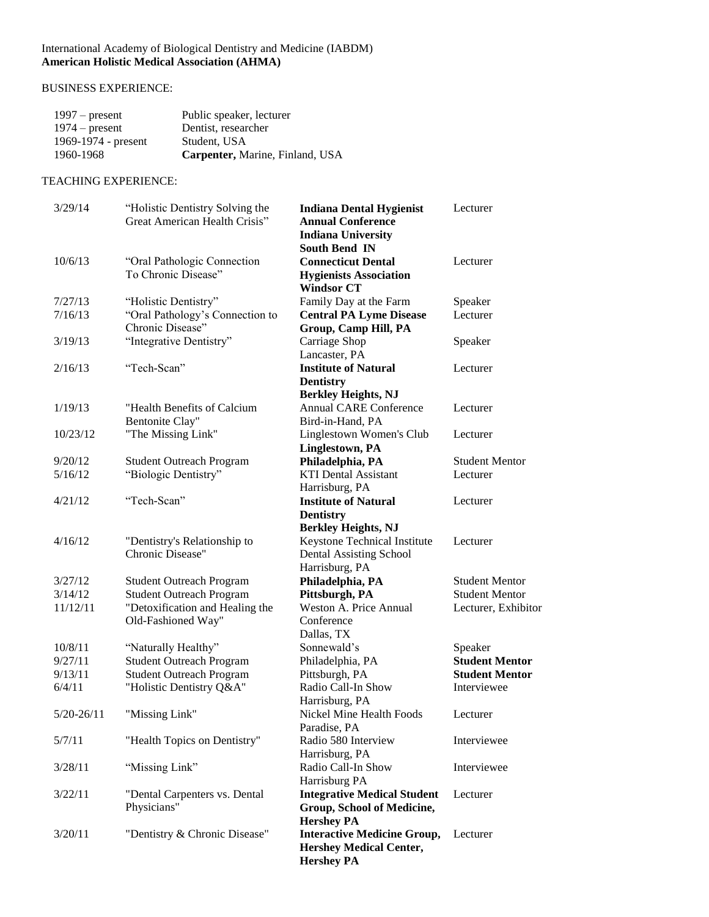### International Academy of Biological Dentistry and Medicine (IABDM) **American Holistic Medical Association (AHMA)**

# BUSINESS EXPERIENCE:

| $1997$ – present    | Public speaker, lecturer        |
|---------------------|---------------------------------|
| $1974$ – present    | Dentist, researcher             |
| 1969-1974 - present | Student, USA                    |
| 1960-1968           | Carpenter, Marine, Finland, USA |

## TEACHING EXPERIENCE:

| 3/29/14        | "Holistic Dentistry Solving the<br>Great American Health Crisis" | <b>Indiana Dental Hygienist</b><br><b>Annual Conference</b><br><b>Indiana University</b>                | Lecturer              |
|----------------|------------------------------------------------------------------|---------------------------------------------------------------------------------------------------------|-----------------------|
| 10/6/13        | "Oral Pathologic Connection<br>To Chronic Disease"               | <b>South Bend IN</b><br><b>Connecticut Dental</b><br><b>Hygienists Association</b><br><b>Windsor CT</b> | Lecturer              |
| 7/27/13        | "Holistic Dentistry"                                             | Family Day at the Farm                                                                                  | Speaker               |
| 7/16/13        | "Oral Pathology's Connection to                                  | <b>Central PA Lyme Disease</b>                                                                          | Lecturer              |
|                | Chronic Disease"                                                 | Group, Camp Hill, PA                                                                                    |                       |
| 3/19/13        | "Integrative Dentistry"                                          | Carriage Shop                                                                                           | Speaker               |
|                |                                                                  | Lancaster, PA                                                                                           |                       |
| 2/16/13        | "Tech-Scan"                                                      | <b>Institute of Natural</b><br><b>Dentistry</b>                                                         | Lecturer              |
|                |                                                                  | <b>Berkley Heights, NJ</b>                                                                              |                       |
| 1/19/13        | "Health Benefits of Calcium                                      | <b>Annual CARE Conference</b>                                                                           | Lecturer              |
|                | Bentonite Clay"                                                  | Bird-in-Hand, PA                                                                                        |                       |
| 10/23/12       | "The Missing Link"                                               | Linglestown Women's Club                                                                                | Lecturer              |
|                |                                                                  | Linglestown, PA                                                                                         |                       |
| 9/20/12        | <b>Student Outreach Program</b>                                  | Philadelphia, PA                                                                                        | <b>Student Mentor</b> |
| 5/16/12        | "Biologic Dentistry"                                             | <b>KTI Dental Assistant</b>                                                                             | Lecturer              |
|                |                                                                  | Harrisburg, PA                                                                                          |                       |
| 4/21/12        | "Tech-Scan"                                                      | <b>Institute of Natural</b>                                                                             | Lecturer              |
|                |                                                                  | <b>Dentistry</b>                                                                                        |                       |
| 4/16/12        |                                                                  | <b>Berkley Heights, NJ</b>                                                                              | Lecturer              |
|                | "Dentistry's Relationship to<br>Chronic Disease"                 | Keystone Technical Institute<br><b>Dental Assisting School</b>                                          |                       |
|                |                                                                  | Harrisburg, PA                                                                                          |                       |
| 3/27/12        | <b>Student Outreach Program</b>                                  | Philadelphia, PA                                                                                        | <b>Student Mentor</b> |
| 3/14/12        | <b>Student Outreach Program</b>                                  | Pittsburgh, PA                                                                                          | <b>Student Mentor</b> |
| 11/12/11       | "Detoxification and Healing the                                  | Weston A. Price Annual                                                                                  | Lecturer, Exhibitor   |
|                | Old-Fashioned Way"                                               | Conference                                                                                              |                       |
|                |                                                                  | Dallas, TX                                                                                              |                       |
| 10/8/11        | "Naturally Healthy"                                              | Sonnewald's                                                                                             | Speaker               |
| 9/27/11        | <b>Student Outreach Program</b>                                  | Philadelphia, PA                                                                                        | <b>Student Mentor</b> |
| 9/13/11        | <b>Student Outreach Program</b>                                  | Pittsburgh, PA                                                                                          | <b>Student Mentor</b> |
| 6/4/11         | "Holistic Dentistry Q&A"                                         | Radio Call-In Show                                                                                      | Interviewee           |
|                |                                                                  | Harrisburg, PA                                                                                          |                       |
| $5/20 - 26/11$ | "Missing Link"                                                   | Nickel Mine Health Foods                                                                                | Lecturer              |
|                |                                                                  | Paradise, PA                                                                                            |                       |
| 5/7/11         | "Health Topics on Dentistry"                                     | Radio 580 Interview                                                                                     | Interviewee           |
|                |                                                                  | Harrisburg, PA                                                                                          |                       |
| 3/28/11        | "Missing Link"                                                   | Radio Call-In Show                                                                                      | Interviewee           |
|                |                                                                  | Harrisburg PA                                                                                           |                       |
| 3/22/11        | "Dental Carpenters vs. Dental                                    | <b>Integrative Medical Student</b>                                                                      | Lecturer              |
|                | Physicians"                                                      | Group, School of Medicine,                                                                              |                       |
| 3/20/11        | "Dentistry & Chronic Disease"                                    | <b>Hershey PA</b><br><b>Interactive Medicine Group,</b>                                                 |                       |
|                |                                                                  | <b>Hershey Medical Center,</b>                                                                          | Lecturer              |
|                |                                                                  | <b>Hershey PA</b>                                                                                       |                       |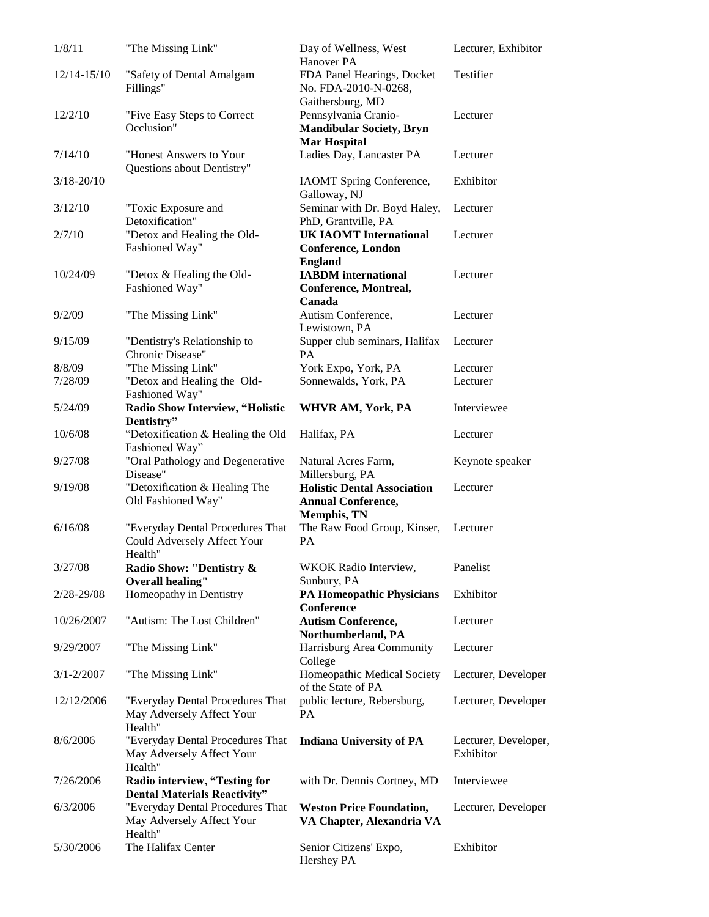| 1/8/11         | "The Missing Link"                                                         | Day of Wellness, West<br>Hanover PA                                                   | Lecturer, Exhibitor               |
|----------------|----------------------------------------------------------------------------|---------------------------------------------------------------------------------------|-----------------------------------|
| 12/14-15/10    | "Safety of Dental Amalgam<br>Fillings"                                     | FDA Panel Hearings, Docket<br>No. FDA-2010-N-0268,                                    | <b>Testifier</b>                  |
| 12/2/10        | "Five Easy Steps to Correct"                                               | Gaithersburg, MD<br>Pennsylvania Cranio-                                              | Lecturer                          |
|                | Occlusion"                                                                 | <b>Mandibular Society, Bryn</b><br><b>Mar Hospital</b>                                |                                   |
| 7/14/10        | "Honest Answers to Your<br>Questions about Dentistry"                      | Ladies Day, Lancaster PA                                                              | Lecturer                          |
| $3/18 - 20/10$ |                                                                            | IAOMT Spring Conference,<br>Galloway, NJ                                              | Exhibitor                         |
| 3/12/10        | "Toxic Exposure and<br>Detoxification"                                     | Seminar with Dr. Boyd Haley,<br>PhD, Grantville, PA                                   | Lecturer                          |
| 2/7/10         | "Detox and Healing the Old-<br>Fashioned Way"                              | <b>UK IAOMT International</b><br><b>Conference, London</b><br><b>England</b>          | Lecturer                          |
| 10/24/09       | "Detox & Healing the Old-<br>Fashioned Way"                                | <b>IABDM</b> international<br>Conference, Montreal,<br>Canada                         | Lecturer                          |
| 9/2/09         | "The Missing Link"                                                         | Autism Conference,<br>Lewistown, PA                                                   | Lecturer                          |
| 9/15/09        | "Dentistry's Relationship to<br>Chronic Disease"                           | Supper club seminars, Halifax<br><b>PA</b>                                            | Lecturer                          |
| 8/8/09         | "The Missing Link"                                                         | York Expo, York, PA                                                                   | Lecturer                          |
| 7/28/09        | "Detox and Healing the Old-<br>Fashioned Way"                              | Sonnewalds, York, PA                                                                  | Lecturer                          |
| 5/24/09        | Radio Show Interview, "Holistic<br>Dentistry"                              | WHVR AM, York, PA                                                                     | Interviewee                       |
| 10/6/08        | "Detoxification & Healing the Old<br>Fashioned Way"                        | Halifax, PA                                                                           | Lecturer                          |
| 9/27/08        | "Oral Pathology and Degenerative<br>Disease"                               | Natural Acres Farm,<br>Millersburg, PA                                                | Keynote speaker                   |
| 9/19/08        | "Detoxification & Healing The<br>Old Fashioned Way"                        | <b>Holistic Dental Association</b><br><b>Annual Conference,</b><br><b>Memphis, TN</b> | Lecturer                          |
| 6/16/08        | "Everyday Dental Procedures That<br>Could Adversely Affect Your<br>Health" | The Raw Food Group, Kinser,<br>PA                                                     | Lecturer                          |
| 3/27/08        | Radio Show: "Dentistry &<br><b>Overall healing"</b>                        | WKOK Radio Interview,<br>Sunbury, PA                                                  | Panelist                          |
| 2/28-29/08     | Homeopathy in Dentistry                                                    | <b>PA Homeopathic Physicians</b><br>Conference                                        | Exhibitor                         |
| 10/26/2007     | "Autism: The Lost Children"                                                | <b>Autism Conference,</b><br>Northumberland, PA                                       | Lecturer                          |
| 9/29/2007      | "The Missing Link"                                                         | Harrisburg Area Community<br>College                                                  | Lecturer                          |
| $3/1 - 2/2007$ | "The Missing Link"                                                         | Homeopathic Medical Society<br>of the State of PA                                     | Lecturer, Developer               |
| 12/12/2006     | "Everyday Dental Procedures That<br>May Adversely Affect Your<br>Health"   | public lecture, Rebersburg,<br>PA                                                     | Lecturer, Developer               |
| 8/6/2006       | "Everyday Dental Procedures That<br>May Adversely Affect Your<br>Health"   | <b>Indiana University of PA</b>                                                       | Lecturer, Developer,<br>Exhibitor |
| 7/26/2006      | Radio interview, "Testing for<br><b>Dental Materials Reactivity"</b>       | with Dr. Dennis Cortney, MD                                                           | Interviewee                       |
| 6/3/2006       | "Everyday Dental Procedures That<br>May Adversely Affect Your<br>Health"   | <b>Weston Price Foundation,</b><br>VA Chapter, Alexandria VA                          | Lecturer, Developer               |
| 5/30/2006      | The Halifax Center                                                         | Senior Citizens' Expo,<br>Hershey PA                                                  | Exhibitor                         |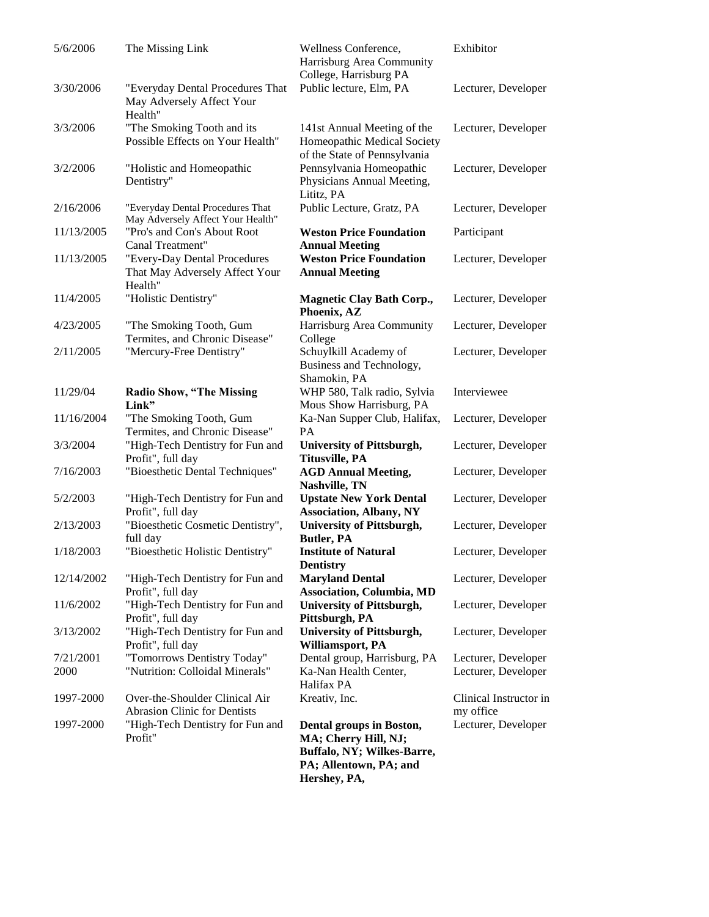| 5/6/2006          | The Missing Link                                                          | Wellness Conference,<br>Harrisburg Area Community<br>College, Harrisburg PA                                              | Exhibitor                                  |
|-------------------|---------------------------------------------------------------------------|--------------------------------------------------------------------------------------------------------------------------|--------------------------------------------|
| 3/30/2006         | "Everyday Dental Procedures That<br>May Adversely Affect Your<br>Health"  | Public lecture, Elm, PA                                                                                                  | Lecturer, Developer                        |
| 3/3/2006          | "The Smoking Tooth and its<br>Possible Effects on Your Health"            | 141st Annual Meeting of the<br>Homeopathic Medical Society<br>of the State of Pennsylvania                               | Lecturer, Developer                        |
| 3/2/2006          | "Holistic and Homeopathic<br>Dentistry"                                   | Pennsylvania Homeopathic<br>Physicians Annual Meeting,<br>Lititz, PA                                                     | Lecturer, Developer                        |
| 2/16/2006         | "Everyday Dental Procedures That<br>May Adversely Affect Your Health"     | Public Lecture, Gratz, PA                                                                                                | Lecturer, Developer                        |
| 11/13/2005        | "Pro's and Con's About Root<br>Canal Treatment"                           | <b>Weston Price Foundation</b><br><b>Annual Meeting</b>                                                                  | Participant                                |
| 11/13/2005        | "Every-Day Dental Procedures<br>That May Adversely Affect Your<br>Health" | <b>Weston Price Foundation</b><br><b>Annual Meeting</b>                                                                  | Lecturer, Developer                        |
| 11/4/2005         | "Holistic Dentistry"                                                      | <b>Magnetic Clay Bath Corp.,</b><br>Phoenix, AZ                                                                          | Lecturer, Developer                        |
| 4/23/2005         | "The Smoking Tooth, Gum<br>Termites, and Chronic Disease"                 | Harrisburg Area Community<br>College                                                                                     | Lecturer, Developer                        |
| 2/11/2005         | "Mercury-Free Dentistry"                                                  | Schuylkill Academy of<br>Business and Technology,<br>Shamokin, PA                                                        | Lecturer, Developer                        |
| 11/29/04          | <b>Radio Show, "The Missing</b><br>Link"                                  | WHP 580, Talk radio, Sylvia<br>Mous Show Harrisburg, PA                                                                  | Interviewee                                |
| 11/16/2004        | "The Smoking Tooth, Gum<br>Termites, and Chronic Disease"                 | Ka-Nan Supper Club, Halifax,<br><b>PA</b>                                                                                | Lecturer, Developer                        |
| 3/3/2004          | "High-Tech Dentistry for Fun and<br>Profit", full day                     | <b>University of Pittsburgh,</b><br><b>Titusville, PA</b>                                                                | Lecturer, Developer                        |
| 7/16/2003         | "Bioesthetic Dental Techniques"                                           | <b>AGD Annual Meeting,</b><br>Nashville, TN                                                                              | Lecturer, Developer                        |
| 5/2/2003          | "High-Tech Dentistry for Fun and<br>Profit", full day                     | <b>Upstate New York Dental</b><br><b>Association, Albany, NY</b>                                                         | Lecturer, Developer                        |
| 2/13/2003         | "Bioesthetic Cosmetic Dentistry",<br>full day                             | <b>University of Pittsburgh,</b><br><b>Butler, PA</b>                                                                    | Lecturer, Developer                        |
| 1/18/2003         | "Bioesthetic Holistic Dentistry"                                          | <b>Institute of Natural</b><br><b>Dentistry</b>                                                                          | Lecturer, Developer                        |
| 12/14/2002        | "High-Tech Dentistry for Fun and<br>Profit", full day                     | <b>Maryland Dental</b><br><b>Association, Columbia, MD</b>                                                               | Lecturer, Developer                        |
| 11/6/2002         | "High-Tech Dentistry for Fun and<br>Profit", full day                     | <b>University of Pittsburgh,</b><br>Pittsburgh, PA                                                                       | Lecturer, Developer                        |
| 3/13/2002         | "High-Tech Dentistry for Fun and<br>Profit", full day                     | <b>University of Pittsburgh,</b><br>Williamsport, PA                                                                     | Lecturer, Developer                        |
| 7/21/2001<br>2000 | "Tomorrows Dentistry Today"<br>"Nutrition: Colloidal Minerals"            | Dental group, Harrisburg, PA<br>Ka-Nan Health Center,<br>Halifax PA                                                      | Lecturer, Developer<br>Lecturer, Developer |
| 1997-2000         | Over-the-Shoulder Clinical Air<br><b>Abrasion Clinic for Dentists</b>     | Kreativ, Inc.                                                                                                            | Clinical Instructor in<br>my office        |
| 1997-2000         | "High-Tech Dentistry for Fun and<br>Profit"                               | Dental groups in Boston,<br>MA; Cherry Hill, NJ;<br>Buffalo, NY; Wilkes-Barre,<br>PA; Allentown, PA; and<br>Hershey, PA, | Lecturer, Developer                        |